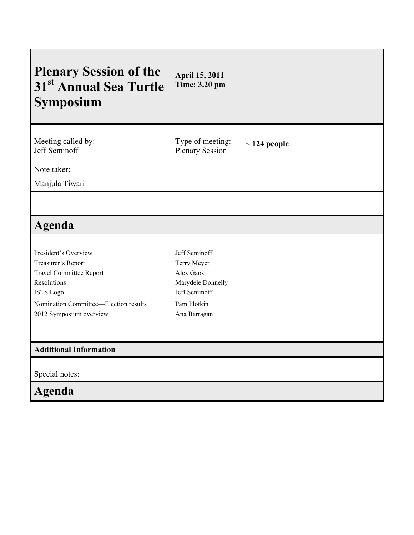#### **Plenary Session of the 31st Annual Sea Turtle Symposium April 15, 2011 Time: 3.20 pm**

Meeting called by: Jeff Seminoff

Type of meeting: Type of meeting:  $\sim$  124 people<br>Plenary Session

Note taker:

Manjula Tiwari

# **Agenda**

| President's Overview                  |
|---------------------------------------|
| Treasurer's Report                    |
| <b>Travel Committee Report</b>        |
| Resolutions                           |
| <b>ISTS</b> Logo                      |
| Nomination Committee—Election results |
| 2012 Symposium overview               |

Jeff Seminoff Terry Meyer Alex Gaos Marydele Donnelly Jeff Seminoff Pam Plotkin Ana Barragan

#### **Additional Information**

Special notes:

## **Agenda**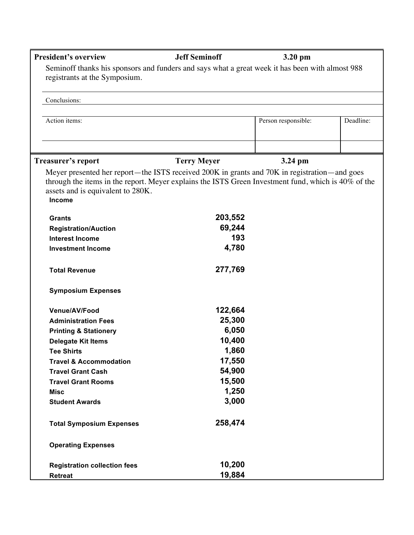| <b>President's overview</b>                 | <b>Jeff Seminoff</b>                                                                                               | 3.20 pm             |           |
|---------------------------------------------|--------------------------------------------------------------------------------------------------------------------|---------------------|-----------|
| registrants at the Symposium.               | Seminoff thanks his sponsors and funders and says what a great week it has been with almost 988                    |                     |           |
| Conclusions:                                |                                                                                                                    |                     |           |
|                                             |                                                                                                                    |                     |           |
| Action items:                               |                                                                                                                    | Person responsible: | Deadline: |
|                                             |                                                                                                                    |                     |           |
| <b>Treasurer's report</b>                   | <b>Terry Meyer</b><br>Meyer presented her report—the ISTS received 200K in grants and 70K in registration—and goes | 3.24 pm             |           |
| assets and is equivalent to 280K.<br>Income | through the items in the report. Meyer explains the ISTS Green Investment fund, which is 40% of the                |                     |           |
| <b>Grants</b>                               | 203,552                                                                                                            |                     |           |
| <b>Registration/Auction</b>                 | 69,244                                                                                                             |                     |           |
| <b>Interest Income</b>                      | 193                                                                                                                |                     |           |
| <b>Investment Income</b>                    | 4,780                                                                                                              |                     |           |
| <b>Total Revenue</b>                        | 277,769                                                                                                            |                     |           |
| <b>Symposium Expenses</b>                   |                                                                                                                    |                     |           |
| Venue/AV/Food                               | 122,664                                                                                                            |                     |           |
| <b>Administration Fees</b>                  | 25,300                                                                                                             |                     |           |
| <b>Printing &amp; Stationery</b>            | 6,050                                                                                                              |                     |           |
| <b>Delegate Kit Items</b>                   | 10,400                                                                                                             |                     |           |
| <b>Tee Shirts</b>                           | 1,860                                                                                                              |                     |           |
| <b>Travel &amp; Accommodation</b>           | 17,550                                                                                                             |                     |           |
| <b>Travel Grant Cash</b>                    | 54,900                                                                                                             |                     |           |
| <b>Travel Grant Rooms</b>                   | 15,500                                                                                                             |                     |           |
| <b>Misc</b>                                 | 1,250                                                                                                              |                     |           |
| <b>Student Awards</b>                       | 3,000                                                                                                              |                     |           |
| <b>Total Symposium Expenses</b>             | 258,474                                                                                                            |                     |           |
| <b>Operating Expenses</b>                   |                                                                                                                    |                     |           |
| <b>Registration collection fees</b>         | 10,200                                                                                                             |                     |           |
| <b>Retreat</b>                              | 19,884                                                                                                             |                     |           |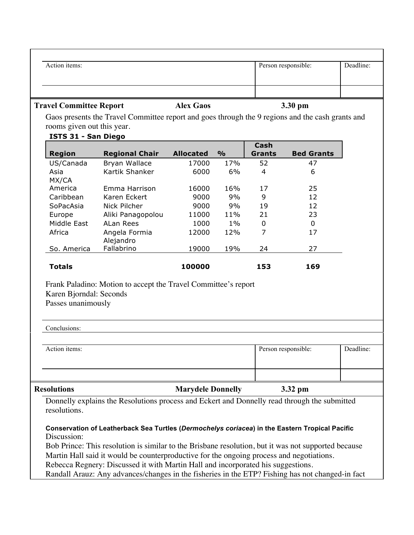| Action items:                                                 |                                                                                                                                                                                                                                                                                                   |                          |               |                              | Person responsible: | Deadline: |
|---------------------------------------------------------------|---------------------------------------------------------------------------------------------------------------------------------------------------------------------------------------------------------------------------------------------------------------------------------------------------|--------------------------|---------------|------------------------------|---------------------|-----------|
| <b>Travel Committee Report</b>                                |                                                                                                                                                                                                                                                                                                   | <b>Alex Gaos</b>         |               |                              | 3.30 pm             |           |
| rooms given out this year.                                    | Gaos presents the Travel Committee report and goes through the 9 regions and the cash grants and                                                                                                                                                                                                  |                          |               |                              |                     |           |
| ISTS 31 - San Diego<br>Region                                 | <b>Regional Chair</b>                                                                                                                                                                                                                                                                             | <b>Allocated</b>         | $\frac{9}{0}$ | <b>Cash</b><br><b>Grants</b> | <b>Bed Grants</b>   |           |
| US/Canada<br>Asia<br>MX/CA                                    | Bryan Wallace<br>Kartik Shanker                                                                                                                                                                                                                                                                   | 17000<br>6000            | 17%<br>6%     | 52<br>$\overline{4}$         | 47<br>6             |           |
| America<br>Caribbean                                          | Emma Harrison<br>Karen Eckert                                                                                                                                                                                                                                                                     | 16000<br>9000            | 16%<br>9%     | 17<br>9                      | 25<br>12            |           |
| SoPacAsia<br>Europe                                           | <b>Nick Pilcher</b><br>Aliki Panagopolou                                                                                                                                                                                                                                                          | 9000<br>11000            | 9%<br>11%     | 19<br>21                     | 12<br>23            |           |
| Middle East<br>Africa                                         | ALan Rees<br>Angela Formia<br>Alejandro                                                                                                                                                                                                                                                           | 1000<br>12000            | $1\%$<br>12%  | 0<br>7                       | $\mathbf 0$<br>17   |           |
| So. America                                                   | Fallabrino                                                                                                                                                                                                                                                                                        | 19000                    | 19%           | 24                           | 27                  |           |
| <b>Totals</b>                                                 |                                                                                                                                                                                                                                                                                                   | 100000                   |               | 153                          | 169                 |           |
| Karen Bjorndal: Seconds<br>Passes unanimously<br>Conclusions: | Frank Paladino: Motion to accept the Travel Committee's report                                                                                                                                                                                                                                    |                          |               |                              |                     |           |
| Action items:                                                 |                                                                                                                                                                                                                                                                                                   |                          |               |                              | Person responsible: | Deadline: |
| <b>Resolutions</b>                                            |                                                                                                                                                                                                                                                                                                   | <b>Marydele Donnelly</b> |               |                              | 3.32 pm             |           |
| resolutions.                                                  | Donnelly explains the Resolutions process and Eckert and Donnelly read through the submitted                                                                                                                                                                                                      |                          |               |                              |                     |           |
| Discussion:                                                   | Conservation of Leatherback Sea Turtles (Dermochelys coriacea) in the Eastern Tropical Pacific<br>Bob Prince: This resolution is similar to the Brisbane resolution, but it was not supported because<br>Martin Hall said it would be counterproductive for the ongoing process and negotiations. |                          |               |                              |                     |           |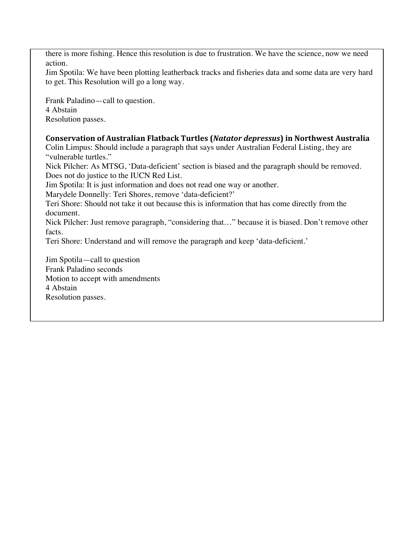there is more fishing. Hence this resolution is due to frustration. We have the science, now we need action.

Jim Spotila: We have been plotting leatherback tracks and fisheries data and some data are very hard to get. This Resolution will go a long way.

Frank Paladino—call to question. 4 Abstain Resolution passes.

### **Conservation
of
Australian
Flatback
Turtles
(***Natator
depressus***)
in
Northwest
Australia**

Colin Limpus: Should include a paragraph that says under Australian Federal Listing, they are "vulnerable turtles."

Nick Pilcher: As MTSG, 'Data-deficient' section is biased and the paragraph should be removed. Does not do justice to the IUCN Red List.

Jim Spotila: It is just information and does not read one way or another.

Marydele Donnelly: Teri Shores, remove 'data-deficient?'

Teri Shore: Should not take it out because this is information that has come directly from the document.

Nick Pilcher: Just remove paragraph, "considering that…" because it is biased. Don't remove other facts.

Teri Shore: Understand and will remove the paragraph and keep 'data-deficient.'

Jim Spotila—call to question Frank Paladino seconds Motion to accept with amendments 4 Abstain Resolution passes.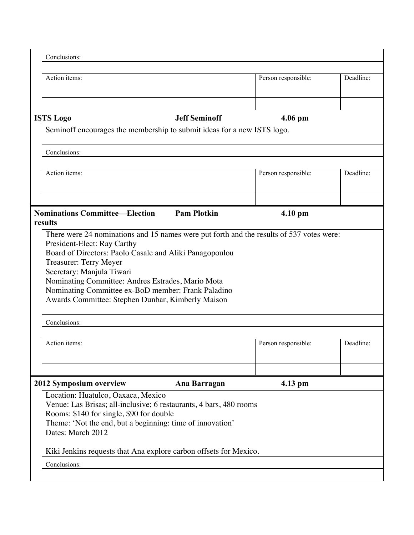| Action items:<br><b>Jeff Seminoff</b><br><b>ISTS Logo</b><br>Seminoff encourages the membership to submit ideas for a new ISTS logo.<br>Conclusions:<br>Action items:<br><b>Pam Plotkin</b><br><b>Nominations Committee—Election</b><br>There were 24 nominations and 15 names were put forth and the results of 537 votes were:<br>President-Elect: Ray Carthy<br>Board of Directors: Paolo Casale and Aliki Panagopoulou<br>Treasurer: Terry Meyer<br>Secretary: Manjula Tiwari<br>Nominating Committee: Andres Estrades, Mario Mota<br>Nominating Committee ex-BoD member: Frank Paladino<br>Awards Committee: Stephen Dunbar, Kimberly Maison<br>Conclusions:<br>Action items: | Person responsible:<br>$4.06$ pm<br>Person responsible:<br>$4.10$ pm | Deadline:<br>Deadline: |
|------------------------------------------------------------------------------------------------------------------------------------------------------------------------------------------------------------------------------------------------------------------------------------------------------------------------------------------------------------------------------------------------------------------------------------------------------------------------------------------------------------------------------------------------------------------------------------------------------------------------------------------------------------------------------------|----------------------------------------------------------------------|------------------------|
|                                                                                                                                                                                                                                                                                                                                                                                                                                                                                                                                                                                                                                                                                    |                                                                      |                        |
|                                                                                                                                                                                                                                                                                                                                                                                                                                                                                                                                                                                                                                                                                    |                                                                      |                        |
|                                                                                                                                                                                                                                                                                                                                                                                                                                                                                                                                                                                                                                                                                    |                                                                      |                        |
|                                                                                                                                                                                                                                                                                                                                                                                                                                                                                                                                                                                                                                                                                    |                                                                      |                        |
|                                                                                                                                                                                                                                                                                                                                                                                                                                                                                                                                                                                                                                                                                    |                                                                      |                        |
|                                                                                                                                                                                                                                                                                                                                                                                                                                                                                                                                                                                                                                                                                    |                                                                      |                        |
|                                                                                                                                                                                                                                                                                                                                                                                                                                                                                                                                                                                                                                                                                    |                                                                      |                        |
|                                                                                                                                                                                                                                                                                                                                                                                                                                                                                                                                                                                                                                                                                    |                                                                      |                        |
|                                                                                                                                                                                                                                                                                                                                                                                                                                                                                                                                                                                                                                                                                    |                                                                      |                        |
|                                                                                                                                                                                                                                                                                                                                                                                                                                                                                                                                                                                                                                                                                    | Person responsible:                                                  | Deadline:              |
| 2012 Symposium overview<br>Ana Barragan                                                                                                                                                                                                                                                                                                                                                                                                                                                                                                                                                                                                                                            | 4.13 pm                                                              |                        |
| Location: Huatulco, Oaxaca, Mexico<br>Venue: Las Brisas; all-inclusive; 6 restaurants, 4 bars, 480 rooms<br>Rooms: \$140 for single, \$90 for double<br>Theme: 'Not the end, but a beginning: time of innovation'<br>Dates: March 2012<br>Kiki Jenkins requests that Ana explore carbon offsets for Mexico.                                                                                                                                                                                                                                                                                                                                                                        |                                                                      |                        |
| Conclusions:                                                                                                                                                                                                                                                                                                                                                                                                                                                                                                                                                                                                                                                                       |                                                                      |                        |